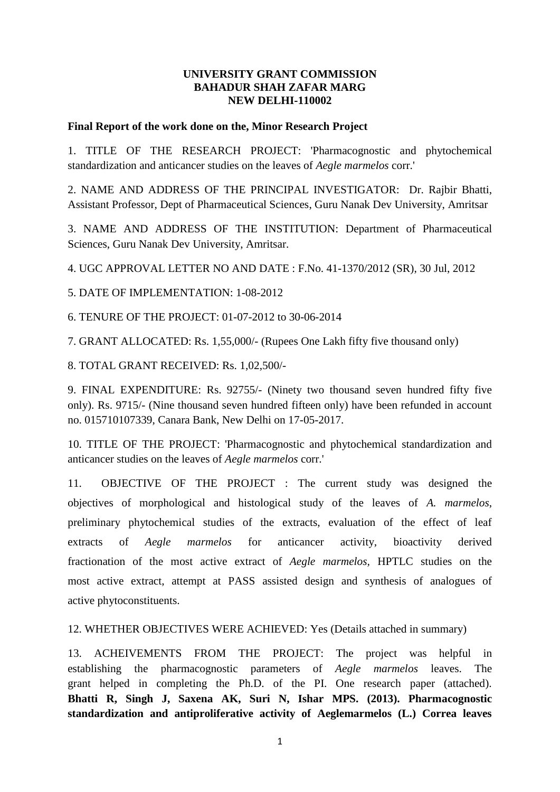# **UNIVERSITY GRANT COMMISSION BAHADUR SHAH ZAFAR MARG NEW DELHI-110002**

# **Final Report of the work done on the, Minor Research Project**

1. TITLE OF THE RESEARCH PROJECT: 'Pharmacognostic and phytochemical standardization and anticancer studies on the leaves of *Aegle marmelos* corr.'

2. NAME AND ADDRESS OF THE PRINCIPAL INVESTIGATOR: Dr. Rajbir Bhatti, Assistant Professor, Dept of Pharmaceutical Sciences, Guru Nanak Dev University, Amritsar

3. NAME AND ADDRESS OF THE INSTITUTION: Department of Pharmaceutical Sciences, Guru Nanak Dev University, Amritsar.

4. UGC APPROVAL LETTER NO AND DATE : F.No. 41-1370/2012 (SR), 30 Jul, 2012

5. DATE OF IMPLEMENTATION: 1-08-2012

6. TENURE OF THE PROJECT: 01-07-2012 to 30-06-2014

7. GRANT ALLOCATED: Rs. 1,55,000/- (Rupees One Lakh fifty five thousand only)

8. TOTAL GRANT RECEIVED: Rs. 1,02,500/-

9. FINAL EXPENDITURE: Rs. 92755/- (Ninety two thousand seven hundred fifty five only). Rs. 9715/- (Nine thousand seven hundred fifteen only) have been refunded in account no. 015710107339, Canara Bank, New Delhi on 17-05-2017.

10. TITLE OF THE PROJECT: 'Pharmacognostic and phytochemical standardization and anticancer studies on the leaves of *Aegle marmelos* corr.'

11. OBJECTIVE OF THE PROJECT : The current study was designed the objectives of morphological and histological study of the leaves of *A. marmelos*, preliminary phytochemical studies of the extracts, evaluation of the effect of leaf extracts of *Aegle marmelos* for anticancer activity, bioactivity derived fractionation of the most active extract of *Aegle marmelos,* HPTLC studies on the most active extract, attempt at PASS assisted design and synthesis of analogues of active phytoconstituents.

12. WHETHER OBJECTIVES WERE ACHIEVED: Yes (Details attached in summary)

13. ACHEIVEMENTS FROM THE PROJECT: The project was helpful in establishing the pharmacognostic parameters of *Aegle marmelos* leaves. The grant helped in completing the Ph.D. of the PI. One research paper (attached). **Bhatti R, Singh J, Saxena AK, Suri N, Ishar MPS. (2013). Pharmacognostic standardization and antiproliferative activity of Aeglemarmelos (L.) Correa leaves**

1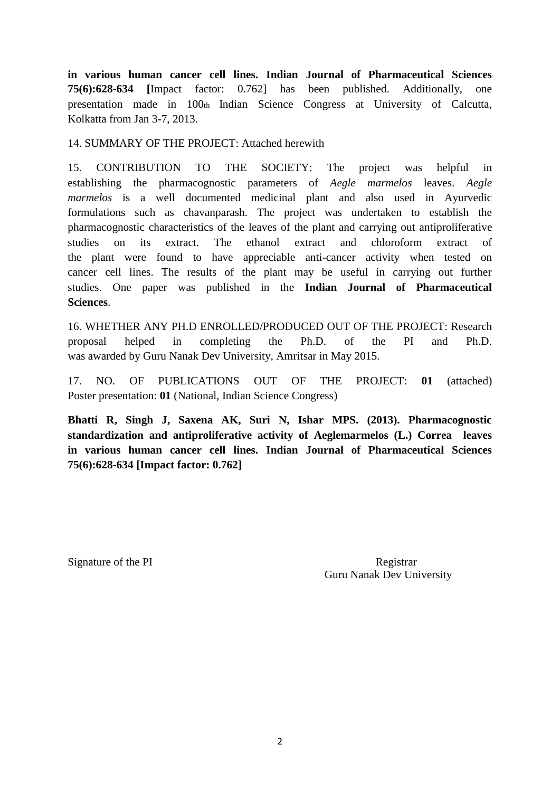**in various human cancer cell lines. Indian Journal of Pharmaceutical Sciences 75(6):628-634 [**Impact factor: 0.762] has been published. Additionally, one presentation made in 100th Indian Science Congress at University of Calcutta, Kolkatta from Jan 3-7, 2013.

# 14. SUMMARY OF THE PROJECT: Attached herewith

15. CONTRIBUTION TO THE SOCIETY: The project was helpful in establishing the pharmacognostic parameters of *Aegle marmelos* leaves. *Aegle marmelos* is a well documented medicinal plant and also used in Ayurvedic formulations such as chavanparash. The project was undertaken to establish the pharmacognostic characteristics of the leaves of the plant and carrying out antiproliferative studies on its extract. The ethanol extract and chloroform extract of the plant were found to have appreciable anti-cancer activity when tested on cancer cell lines. The results of the plant may be useful in carrying out further studies. One paper was published in the **Indian Journal of Pharmaceutical Sciences**.

16. WHETHER ANY PH.D ENROLLED/PRODUCED OUT OF THE PROJECT: Research proposal helped in completing the Ph.D. of the PI and Ph.D. was awarded by Guru Nanak Dev University, Amritsar in May 2015.

17. NO. OF PUBLICATIONS OUT OF THE PROJECT: **01** (attached) Poster presentation: **01** (National, Indian Science Congress)

**Bhatti R, Singh J, Saxena AK, Suri N, Ishar MPS. (2013). Pharmacognostic standardization and antiproliferative activity of Aeglemarmelos (L.) Correa leaves in various human cancer cell lines. Indian Journal of Pharmaceutical Sciences 75(6):628-634 [Impact factor: 0.762]**

Signature of the PI Registrar Guru Nanak Dev University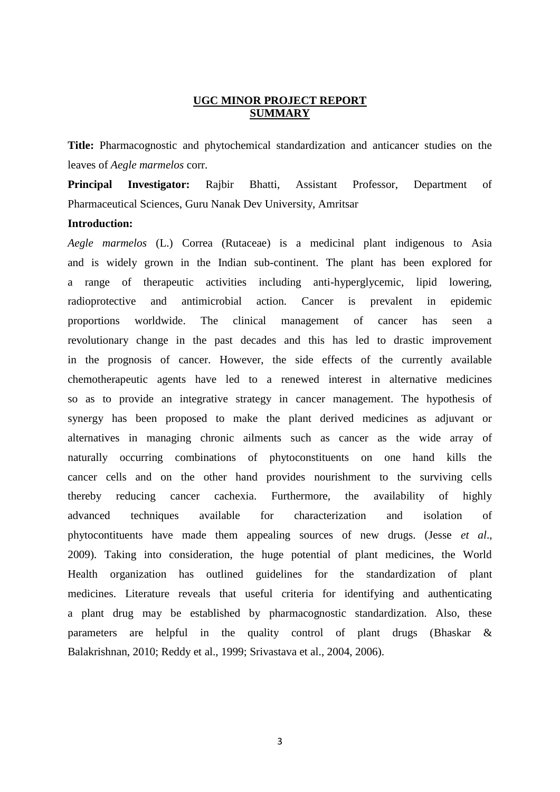### **UGC MINOR PROJECT REPORT SUMMARY**

**Title:** Pharmacognostic and phytochemical standardization and anticancer studies on the leaves of *Aegle marmelos* corr.

**Principal Investigator:** Rajbir Bhatti, Assistant Professor, Department of Pharmaceutical Sciences, Guru Nanak Dev University, Amritsar

### **Introduction:**

*Aegle marmelos* (L.) Correa (Rutaceae) is a medicinal plant indigenous to Asia and is widely grown in the Indian sub-continent. The plant has been explored for a range of therapeutic activities including anti-hyperglycemic, lipid lowering, radioprotective and antimicrobial action. Cancer is prevalent in epidemic proportions worldwide. The clinical management of cancer has seen a revolutionary change in the past decades and this has led to drastic improvement in the prognosis of cancer. However, the side effects of the currently available chemotherapeutic agents have led to a renewed interest in alternative medicines so as to provide an integrative strategy in cancer management. The hypothesis of synergy has been proposed to make the plant derived medicines as adjuvant or alternatives in managing chronic ailments such as cancer as the wide array of naturally occurring combinations of phytoconstituents on one hand kills the cancer cells and on the other hand provides nourishment to the surviving cells thereby reducing cancer cachexia. Furthermore, the availability of highly advanced techniques available for characterization and isolation of phytocontituents have made them appealing sources of new drugs. (Jesse *et al*., 2009). Taking into consideration, the huge potential of plant medicines, the World Health organization has outlined guidelines for the standardization of plant medicines. Literature reveals that useful criteria for identifying and authenticating a plant drug may be established by pharmacognostic standardization. Also, these parameters are helpful in the quality control of plant drugs (Bhaskar & Balakrishnan, 2010; Reddy et al., 1999; Srivastava et al., 2004, 2006).

3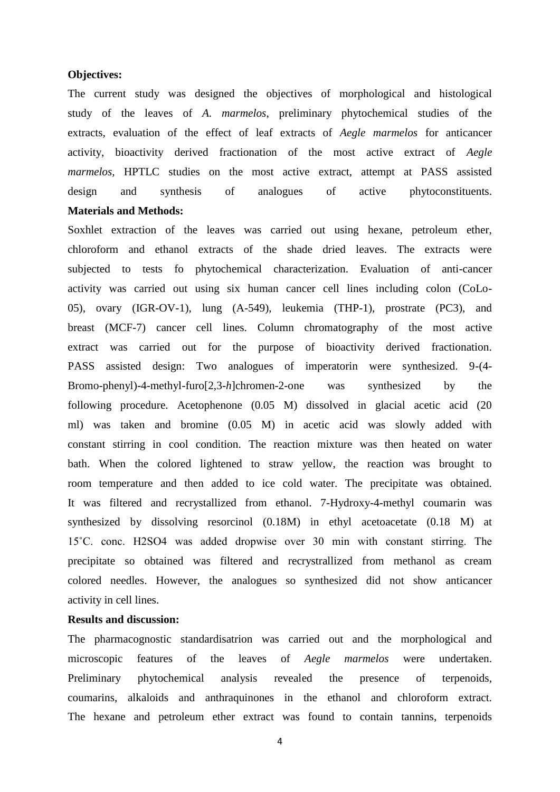#### **Objectives:**

The current study was designed the objectives of morphological and histological study of the leaves of *A. marmelos*, preliminary phytochemical studies of the extracts, evaluation of the effect of leaf extracts of *Aegle marmelos* for anticancer activity, bioactivity derived fractionation of the most active extract of *Aegle marmelos,* HPTLC studies on the most active extract, attempt at PASS assisted design and synthesis of analogues of active phytoconstituents. **Materials and Methods:**

Soxhlet extraction of the leaves was carried out using hexane, petroleum ether, chloroform and ethanol extracts of the shade dried leaves. The extracts were subjected to tests fo phytochemical characterization. Evaluation of anti-cancer activity was carried out using six human cancer cell lines including colon (CoLo-05), ovary (IGR-OV-1), lung (A-549), leukemia (THP-1), prostrate (PC3), and breast (MCF-7) cancer cell lines. Column chromatography of the most active extract was carried out for the purpose of bioactivity derived fractionation. PASS assisted design: Two analogues of imperatorin were synthesized. 9-(4- Bromo-phenyl)-4-methyl-furo[2,3-*h*]chromen-2-one was synthesized by the following procedure. Acetophenone (0.05 M) dissolved in glacial acetic acid (20 ml) was taken and bromine (0.05 M) in acetic acid was slowly added with constant stirring in cool condition. The reaction mixture was then heated on water bath. When the colored lightened to straw yellow, the reaction was brought to room temperature and then added to ice cold water. The precipitate was obtained. It was filtered and recrystallized from ethanol. 7-Hydroxy-4-methyl coumarin was synthesized by dissolving resorcinol (0.18M) in ethyl acetoacetate (0.18 M) at 15˚C. conc. H2SO4 was added dropwise over 30 min with constant stirring. The precipitate so obtained was filtered and recrystrallized from methanol as cream colored needles. However, the analogues so synthesized did not show anticancer activity in cell lines.

### **Results and discussion:**

The pharmacognostic standardisatrion was carried out and the morphological and microscopic features of the leaves of *Aegle marmelos* were undertaken. Preliminary phytochemical analysis revealed the presence of terpenoids, coumarins, alkaloids and anthraquinones in the ethanol and chloroform extract. The hexane and petroleum ether extract was found to contain tannins, terpenoids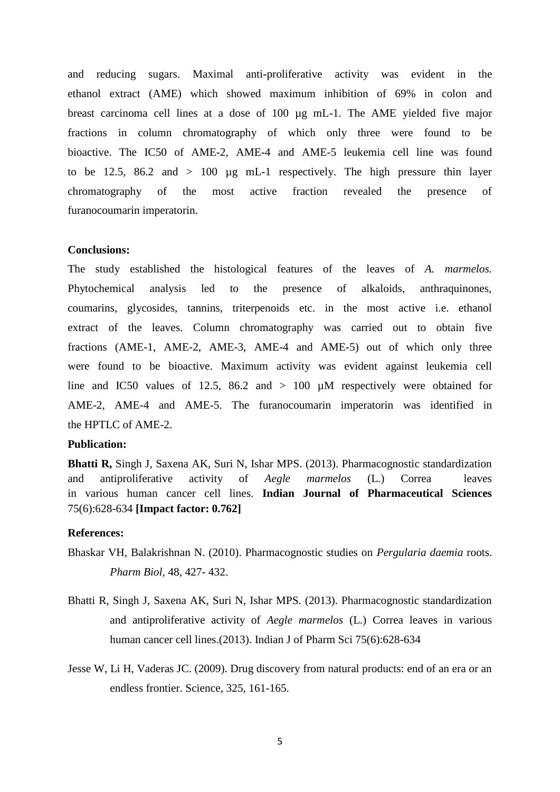and reducing sugars. Maximal anti-proliferative activity was evident in the ethanol extract (AME) which showed maximum inhibition of 69% in colon and breast carcinoma cell lines at a dose of 100 µg mL-1. The AME yielded five major fractions in column chromatography of which only three were found to be bioactive. The IC50 of AME-2, AME-4 and AME-5 leukemia cell line was found to be 12.5, 86.2 and  $> 100 \text{ µg} \text{ mL-1}$  respectively. The high pressure thin layer chromatography of the most active fraction revealed the presence of furanocoumarin imperatorin.

### **Conclusions:**

The study established the histological features of the leaves of *A. marmelos.* Phytochemical analysis led to the presence of alkaloids, anthraquinones, coumarins, glycosides, tannins, triterpenoids etc. in the most active i.e. ethanol extract of the leaves. Column chromatography was carried out to obtain five fractions (AME-1, AME-2, AME-3, AME-4 and AME-5) out of which only three were found to be bioactive. Maximum activity was evident against leukemia cell line and IC50 values of 12.5, 86.2 and  $> 100$  µM respectively were obtained for AME-2, AME-4 and AME-5. The furanocoumarin imperatorin was identified in the HPTLC of AME-2.

### **Publication:**

**Bhatti R,** Singh J, Saxena AK, Suri N, Ishar MPS. (2013). Pharmacognostic standardization and antiproliferative activity of *Aegle marmelos* (L.) Correa leaves in various human cancer cell lines. **Indian Journal of Pharmaceutical Sciences** 75(6):628-634 **[Impact factor: 0.762]**

#### **References:**

- Bhaskar VH, Balakrishnan N. (2010). Pharmacognostic studies on *Pergularia daemia* roots. *Pharm Biol*, 48, 427- 432.
- Bhatti R, Singh J, Saxena AK, Suri N, Ishar MPS. (2013). Pharmacognostic standardization and antiproliferative activity of *Aegle marmelos* (L.) Correa leaves in various human cancer cell lines.(2013). Indian J of Pharm Sci 75(6):628-634
- Jesse W, Li H, Vaderas JC. (2009). Drug discovery from natural products: end of an era or an endless frontier. Science, 325, 161-165.